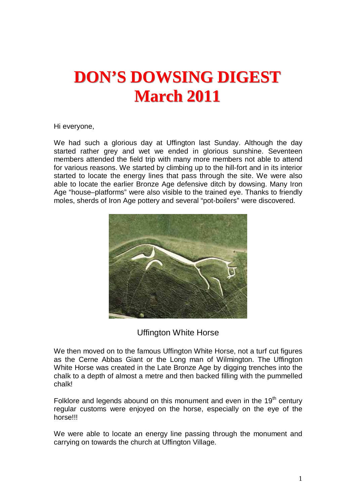# **DON'S DOWSING DIGEST March 2011**

Hi everyone,

We had such a glorious day at Uffington last Sunday. Although the day started rather grey and wet we ended in glorious sunshine. Seventeen members attended the field trip with many more members not able to attend for various reasons. We started by climbing up to the hill-fort and in its interior started to locate the energy lines that pass through the site. We were also able to locate the earlier Bronze Age defensive ditch by dowsing. Many Iron Age "house–platforms" were also visible to the trained eye. Thanks to friendly moles, sherds of Iron Age pottery and several "pot-boilers" were discovered.



Uffington White Horse

We then moved on to the famous Uffington White Horse, not a turf cut figures as the Cerne Abbas Giant or the Long man of Wilmington. The Uffington White Horse was created in the Late Bronze Age by digging trenches into the chalk to a depth of almost a metre and then backed filling with the pummelled chalk!

Folklore and legends abound on this monument and even in the  $19<sup>th</sup>$  century regular customs were enjoyed on the horse, especially on the eye of the horse!!!

We were able to locate an energy line passing through the monument and carrying on towards the church at Uffington Village.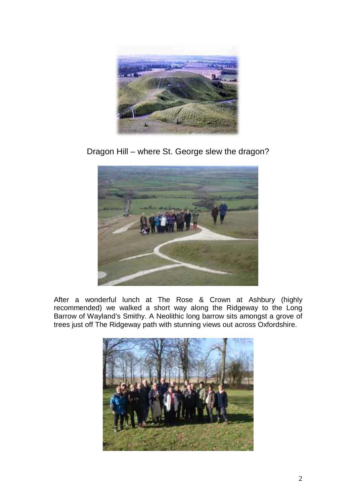

Dragon Hill – where St. George slew the dragon?



After a wonderful lunch at The Rose & Crown at Ashbury (highly recommended) we walked a short way along the Ridgeway to the Long Barrow of Wayland's Smithy. A Neolithic long barrow sits amongst a grove of trees just off The Ridgeway path with stunning views out across Oxfordshire.

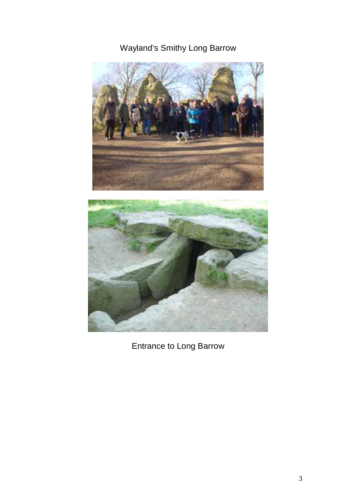# Wayland's Smithy Long Barrow



Entrance to Long Barrow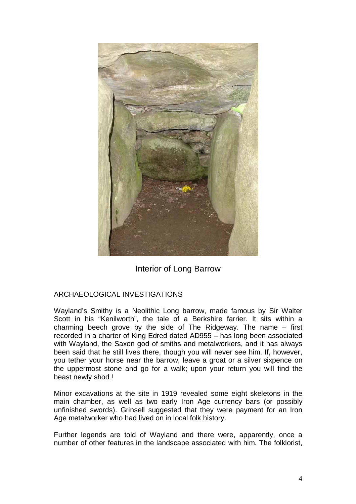

Interior of Long Barrow

#### ARCHAEOLOGICAL INVESTIGATIONS

Wayland's Smithy is a Neolithic Long barrow, made famous by Sir Walter Scott in his "Kenilworth", the tale of a Berkshire farrier. It sits within a charming beech grove by the side of The Ridgeway. The name – first recorded in a charter of King Edred dated AD955 – has long been associated with Wayland, the Saxon god of smiths and metalworkers, and it has always been said that he still lives there, though you will never see him. If, however, you tether your horse near the barrow, leave a groat or a silver sixpence on the uppermost stone and go for a walk; upon your return you will find the beast newly shod !

Minor excavations at the site in 1919 revealed some eight skeletons in the main chamber, as well as two early Iron Age currency bars (or possibly unfinished swords). Grinsell suggested that they were payment for an Iron Age metalworker who had lived on in local folk history.

Further legends are told of Wayland and there were, apparently, once a number of other features in the landscape associated with him. The folklorist,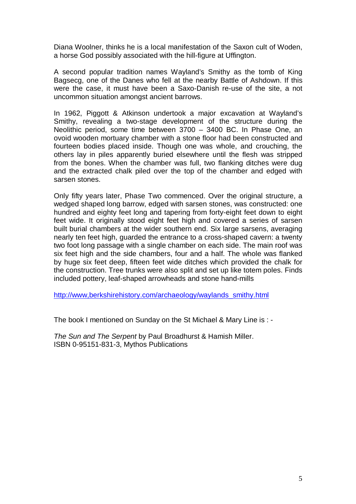Diana Woolner, thinks he is a local manifestation of the Saxon cult of Woden, a horse God possibly associated with the hill-figure at Uffington.

A second popular tradition names Wayland's Smithy as the tomb of King Bagsecg, one of the Danes who fell at the nearby Battle of Ashdown. If this were the case, it must have been a Saxo-Danish re-use of the site, a not uncommon situation amongst ancient barrows.

In 1962, Piggott & Atkinson undertook a major excavation at Wayland's Smithy, revealing a two-stage development of the structure during the Neolithic period, some time between 3700 – 3400 BC. In Phase One, an ovoid wooden mortuary chamber with a stone floor had been constructed and fourteen bodies placed inside. Though one was whole, and crouching, the others lay in piles apparently buried elsewhere until the flesh was stripped from the bones. When the chamber was full, two flanking ditches were dug and the extracted chalk piled over the top of the chamber and edged with sarsen stones.

Only fifty years later, Phase Two commenced. Over the original structure, a wedged shaped long barrow, edged with sarsen stones, was constructed: one hundred and eighty feet long and tapering from forty-eight feet down to eight feet wide. It originally stood eight feet high and covered a series of sarsen built burial chambers at the wider southern end. Six large sarsens, averaging nearly ten feet high, guarded the entrance to a cross-shaped cavern: a twenty two foot long passage with a single chamber on each side. The main roof was six feet high and the side chambers, four and a half. The whole was flanked by huge six feet deep, fifteen feet wide ditches which provided the chalk for the construction. Tree trunks were also split and set up like totem poles. Finds included pottery, leaf-shaped arrowheads and stone hand-mills

http://www,berkshirehistory.com/archaeology/waylands\_smithy.html

The book I mentioned on Sunday on the St Michael & Mary Line is : -

The Sun and The Serpent by Paul Broadhurst & Hamish Miller. ISBN 0-95151-831-3, Mythos Publications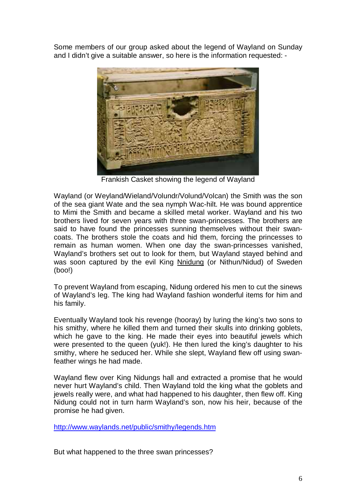Some members of our group asked about the legend of Wayland on Sunday and I didn't give a suitable answer, so here is the information requested: -



Frankish Casket showing the legend of Wayland

Wayland (or Weyland/Wieland/Volundr/Volund/Volcan) the Smith was the son of the sea giant Wate and the sea nymph Wac-hilt. He was bound apprentice to Mimi the Smith and became a skilled metal worker. Wayland and his two brothers lived for seven years with three swan-princesses. The brothers are said to have found the princesses sunning themselves without their swancoats. The brothers stole the coats and hid them, forcing the princesses to remain as human women. When one day the swan-princesses vanished, Wayland's brothers set out to look for them, but Wayland stayed behind and was soon captured by the evil King Nnidung (or Nithun/Nidud) of Sweden (boo!)

To prevent Wayland from escaping, Nidung ordered his men to cut the sinews of Wayland's leg. The king had Wayland fashion wonderful items for him and his family.

Eventually Wayland took his revenge (hooray) by luring the king's two sons to his smithy, where he killed them and turned their skulls into drinking goblets, which he gave to the king. He made their eyes into beautiful jewels which were presented to the queen (yuk!). He then lured the king's daughter to his smithy, where he seduced her. While she slept, Wayland flew off using swanfeather wings he had made.

Wayland flew over King Nidungs hall and extracted a promise that he would never hurt Wayland's child. Then Wayland told the king what the goblets and jewels really were, and what had happened to his daughter, then flew off. King Nidung could not in turn harm Wayland's son, now his heir, because of the promise he had given.

http://www.waylands.net/public/smithy/legends.htm

But what happened to the three swan princesses?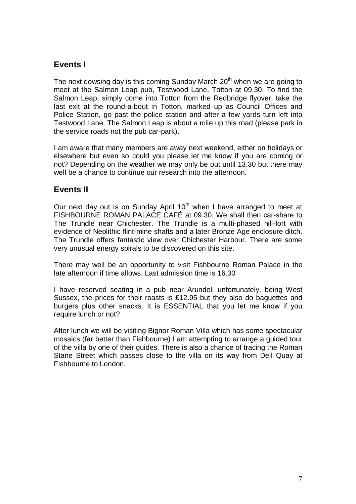## **Events I**

The next dowsing day is this coming Sunday March  $20<sup>th</sup>$  when we are going to meet at the Salmon Leap pub, Testwood Lane, Totton at 09.30. To find the Salmon Leap, simply come into Totton from the Redbridge flyover, take the last exit at the round-a-bout in Totton, marked up as Council Offices and Police Station, go past the police station and after a few yards turn left into Testwood Lane. The Salmon Leap is about a mile up this road (please park in the service roads not the pub car-park).

I am aware that many members are away next weekend, either on holidays or elsewhere but even so could you please let me know if you are coming or not? Depending on the weather we may only be out until 13.30 but there may well be a chance to continue our research into the afternoon.

#### **Events II**

Our next day out is on Sunday April 10<sup>th</sup> when I have arranged to meet at FISHBOURNE ROMAN PALACE CAFÉ at 09.30. We shall then car-share to The Trundle near Chichester. The Trundle is a multi-phased hill-fort with evidence of Neolithic flint-mine shafts and a later Bronze Age enclosure ditch. The Trundle offers fantastic view over Chichester Harbour. There are some very unusual energy spirals to be discovered on this site.

There may well be an opportunity to visit Fishbourne Roman Palace in the late afternoon if time allows. Last admission time is 16.30

I have reserved seating in a pub near Arundel, unfortunately, being West Sussex, the prices for their roasts is £12.95 but they also do baguettes and burgers plus other snacks. It is ESSENTIAL that you let me know if you require lunch or not?

After lunch we will be visiting Bignor Roman Villa which has some spectacular mosaics (far better than Fishbourne) I am attempting to arrange a guided tour of the villa by one of their guides. There is also a chance of tracing the Roman Stane Street which passes close to the villa on its way from Dell Quay at Fishbourne to London.